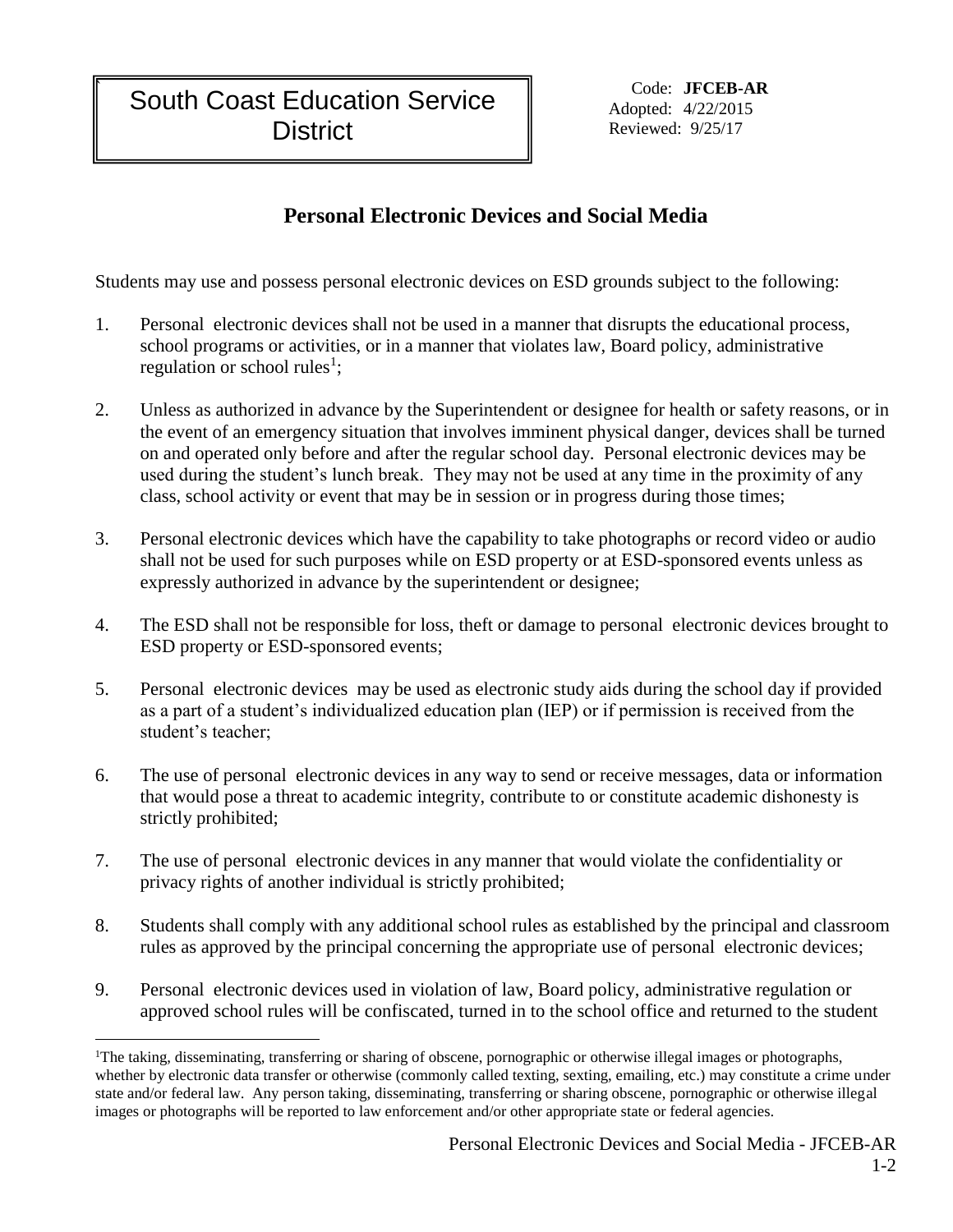Adopted: 4/22/2015 Reviewed: 9/25/17

## **Personal Electronic Devices and Social Media**

Students may use and possess personal electronic devices on ESD grounds subject to the following:

- 1. Personal electronic devices shall not be used in a manner that disrupts the educational process, school programs or activities, or in a manner that violates law, Board policy, administrative regulation or school rules<sup>1</sup>;
- 2. Unless as authorized in advance by the Superintendent or designee for health or safety reasons, or in the event of an emergency situation that involves imminent physical danger, devices shall be turned on and operated only before and after the regular school day. Personal electronic devices may be used during the student's lunch break. They may not be used at any time in the proximity of any class, school activity or event that may be in session or in progress during those times;
- 3. Personal electronic devices which have the capability to take photographs or record video or audio shall not be used for such purposes while on ESD property or at ESD-sponsored events unless as expressly authorized in advance by the superintendent or designee;
- 4. The ESD shall not be responsible for loss, theft or damage to personal electronic devices brought to ESD property or ESD-sponsored events;
- 5. Personal electronic devices may be used as electronic study aids during the school day if provided as a part of a student's individualized education plan (IEP) or if permission is received from the student's teacher;
- 6. The use of personal electronic devices in any way to send or receive messages, data or information that would pose a threat to academic integrity, contribute to or constitute academic dishonesty is strictly prohibited;
- 7. The use of personal electronic devices in any manner that would violate the confidentiality or privacy rights of another individual is strictly prohibited;
- 8. Students shall comply with any additional school rules as established by the principal and classroom rules as approved by the principal concerning the appropriate use of personal electronic devices;
- 9. Personal electronic devices used in violation of law, Board policy, administrative regulation or approved school rules will be confiscated, turned in to the school office and returned to the student

 $\overline{a}$ <sup>1</sup>The taking, disseminating, transferring or sharing of obscene, pornographic or otherwise illegal images or photographs, whether by electronic data transfer or otherwise (commonly called texting, sexting, emailing, etc.) may constitute a crime under state and/or federal law. Any person taking, disseminating, transferring or sharing obscene, pornographic or otherwise illegal images or photographs will be reported to law enforcement and/or other appropriate state or federal agencies.